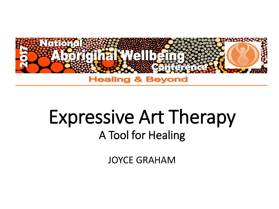

#### **Healing & Beyond**

## Expressive Art Therapy A Tool for Healing

JOYCE GRAHAM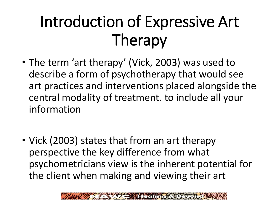## Introduction of Expressive Art Therapy

- The term 'art therapy' (Vick, 2003) was used to describe a form of psychotherapy that would see art practices and interventions placed alongside the central modality of treatment. to include all your information
- Vick (2003) states that from an art therapy perspective the key difference from what psychometricians view is the inherent potential for the client when making and viewing their art

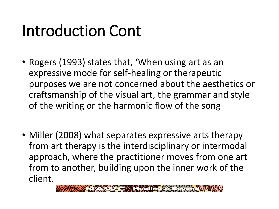## Introduction Cont

- Rogers (1993) states that, 'When using art as an expressive mode for self-healing or therapeutic purposes we are not concerned about the aesthetics or craftsmanship of the visual art, the grammar and style of the writing or the harmonic flow of the song
- Miller (2008) what separates expressive arts therapy from art therapy is the interdisciplinary or intermodal approach, where the practitioner moves from one art from to another, building upon the inner work of the client.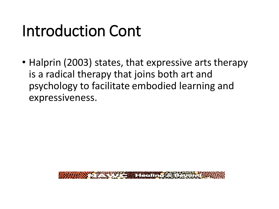## Introduction Cont

• Halprin (2003) states, that expressive arts therapy is a radical therapy that joins both art and psychology to facilitate embodied learning and expressiveness.

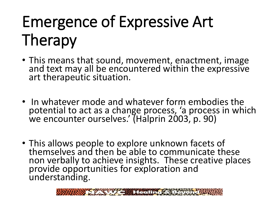# Emergence of Expressive Art Therapy

- This means that sound, movement, enactment, image and text may all be encountered within the expressive art therapeutic situation.
- In whatever mode and whatever form embodies the potential to act as a change process, 'a process in which we encounter ourselves.' (Halprin 2003, p. 90)
- This allows people to explore unknown facets of themselves and then be able to communicate these non verbally to achieve insights. These creative places provide opportunities for exploration and understanding.

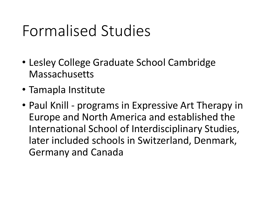#### Formalised Studies

- Lesley College Graduate School Cambridge Massachusetts
- Tamapla Institute
- Paul Knill programs in Expressive Art Therapy in Europe and North America and established the International School of Interdisciplinary Studies, later included schools in Switzerland, Denmark, Germany and Canada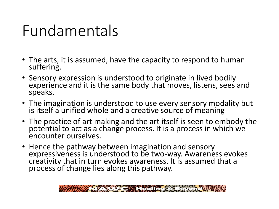#### Fundamentals

- The arts, it is assumed, have the capacity to respond to human suffering.
- Sensory expression is understood to originate in lived bodily experience and it is the same body that moves, listens, sees and speaks.
- The imagination is understood to use every sensory modality but is itself a unified whole and a creative source of meaning
- The practice of art making and the art itself is seen to embody the potential to act as a change process. It is a process in which we encounter ourselves.
- Hence the pathway between imagination and sensory expressiveness is understood to be two-way. Awareness evokes creativity that in turn evokes awareness. It is assumed that a process of change lies along this pathway.

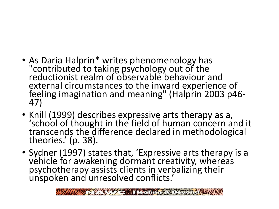- As Daria Halprin\* writes phenomenology has "contributed to taking psychology out of the reductionist realm of observable behaviour and external circumstances to the inward experience of feeling imagination and meaning" (Halprin 2003 p46- 47)
- Knill (1999) describes expressive arts therapy as a, 'school of thought in the field of human concern and it transcends the difference declared in methodological theories.' (p. 38).
- Sydner (1997) states that, 'Expressive arts therapy is a vehicle for awakening dormant creativity, whereas psychotherapy assists clients in verbalizing their unspoken and unresolved conflicts.'

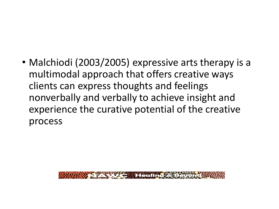• Malchiodi (2003/2005) expressive arts therapy is a multimodal approach that offers creative ways clients can express thoughts and feelings nonverbally and verbally to achieve insight and experience the curative potential of the creative process

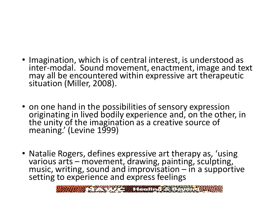- Imagination, which is of central interest, is understood as inter-modal. Sound movement, enactment, image and text may all be encountered within expressive art therapeutic situation (Miller, 2008).
- on one hand in the possibilities of sensory expression originating in lived bodily experience and, on the other, in the unity of the imagination as a creative source of meaning.' (Levine 1999)
- Natalie Rogers, defines expressive art therapy as, 'using various arts – movement, drawing, painting, sculpting, music, writing, sound and improvisation – in a supportive setting to experience and express feelings

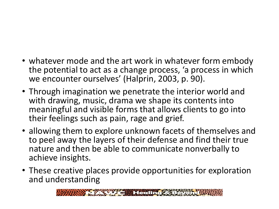- whatever mode and the art work in whatever form embody the potential to act as a change process, 'a process in which we encounter ourselves' (Halprin, 2003, p. 90).
- Through imagination we penetrate the interior world and with drawing, music, drama we shape its contents into meaningful and visible forms that allows clients to go into their feelings such as pain, rage and grief.
- allowing them to explore unknown facets of themselves and to peel away the layers of their defense and find their true nature and then be able to communicate nonverbally to achieve insights.
- These creative places provide opportunities for exploration and understanding

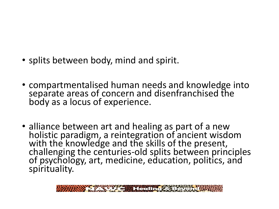- splits between body, mind and spirit.
- compartmentalised human needs and knowledge into separate areas of concern and disenfranchised the body as a locus of experience.
- alliance between art and healing as part of a new holistic paradigm, a reintegration of ancient wisdom with the knowledge and the skills of the present, challenging the centuries-old splits between principles of psychology, art, medicine, education, politics, and spirituality.

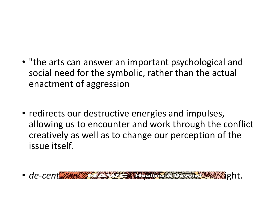- "the arts can answer an important psychological and social need for the symbolic, rather than the actual enactment of aggression
- redirects our destructive energies and impulses, allowing us to encounter and work through the conflict creatively as well as to change our perception of the issue itself.
- *de-centering and see our life experiences* in a new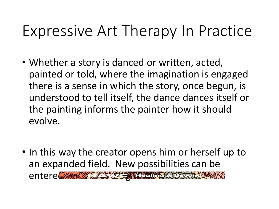#### Expressive Art Therapy In Practice

- Whether a story is danced or written, acted, painted or told, where the imagination is engaged there is a sense in which the story, once begun, is understood to tell itself, the dance dances itself or the painting informs the painter how it should evolve.
- In this way the creator opens him or herself up to an expanded field. New possibilities can be entere into or no longer concealed into or no longer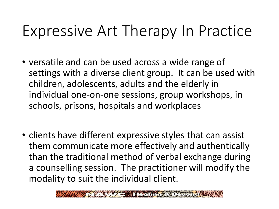#### Expressive Art Therapy In Practice

- versatile and can be used across a wide range of settings with a diverse client group. It can be used with children, adolescents, adults and the elderly in individual one-on-one sessions, group workshops, in schools, prisons, hospitals and workplaces
- clients have different expressive styles that can assist them communicate more effectively and authentically than the traditional method of verbal exchange during a counselling session. The practitioner will modify the modality to suit the individual client.

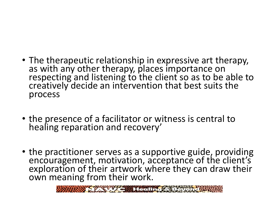- The therapeutic relationship in expressive art therapy, as with any other therapy, places importance on respecting and listening to the client so as to be able to creatively decide an intervention that best suits the process
- the presence of a facilitator or witness is central to healing reparation and recovery'
- the practitioner serves as a supportive guide, providing encouragement, motivation, acceptance of the client's exploration of their artwork where they can draw their own meaning from their work.

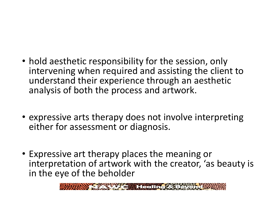- hold aesthetic responsibility for the session, only intervening when required and assisting the client to understand their experience through an aesthetic analysis of both the process and artwork.
- expressive arts therapy does not involve interpreting either for assessment or diagnosis.
- Expressive art therapy places the meaning or interpretation of artwork with the creator, 'as beauty is in the eye of the beholder

 $\frac{1}{2}$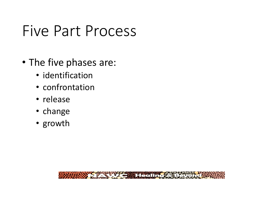#### Five Part Process

- The five phases are:
	- identification
	- confrontation
	- release
	- change
	- growth

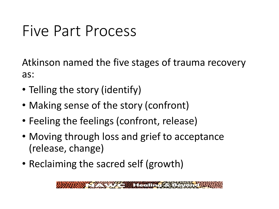#### Five Part Process

Atkinson named the five stages of trauma recovery as:

- Telling the story (identify)
- Making sense of the story (confront)
- Feeling the feelings (confront, release)
- Moving through loss and grief to acceptance (release, change)
- Reclaiming the sacred self (growth)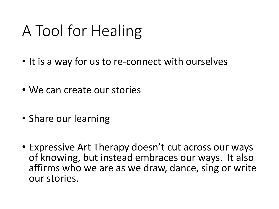### A Tool for Healing

- It is a way for us to re-connect with ourselves
- We can create our stories
- Share our learning
- Expressive Art Therapy doesn't cut across our ways of knowing, but instead embraces our ways. It also affirms who we are as we draw, dance, sing or write our stories.